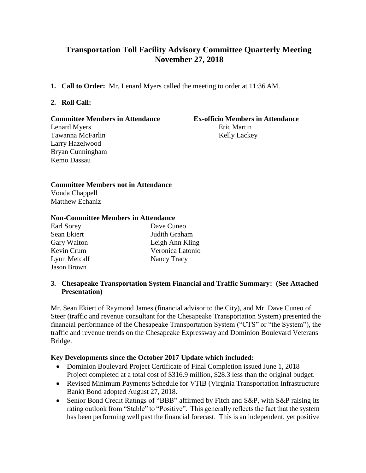# **Transportation Toll Facility Advisory Committee Quarterly Meeting November 27, 2018**

**1. Call to Order:** Mr. Lenard Myers called the meeting to order at 11:36 AM.

## **2. Roll Call:**

# **Committee Members in Attendance Ex-officio Members in Attendance**

Lenard Myers Eric Martin Larry Hazelwood Bryan Cunningham Kemo Dassau

# Tawanna McFarlin Kelly Lackey

## **Committee Members not in Attendance**

Vonda Chappell Matthew Echaniz

# **Non-Committee Members in Attendance**

| Earl Sorey         | Dave Cuneo       |
|--------------------|------------------|
| Sean Ekiert        | Judith Graham    |
| Gary Walton        | Leigh Ann Kling  |
| Kevin Crum         | Veronica Latonio |
| Lynn Metcalf       | Nancy Tracy      |
| <b>Jason Brown</b> |                  |

## **3. Chesapeake Transportation System Financial and Traffic Summary: (See Attached Presentation)**

Mr. Sean Ekiert of Raymond James (financial advisor to the City), and Mr. Dave Cuneo of Steer (traffic and revenue consultant for the Chesapeake Transportation System) presented the financial performance of the Chesapeake Transportation System ("CTS" or "the System"), the traffic and revenue trends on the Chesapeake Expressway and Dominion Boulevard Veterans Bridge.

# **Key Developments since the October 2017 Update which included:**

- Dominion Boulevard Project Certificate of Final Completion issued June 1, 2018 Project completed at a total cost of \$316.9 million, \$28.3 less than the original budget.
- Revised Minimum Payments Schedule for VTIB (Virginia Transportation Infrastructure Bank) Bond adopted August 27, 2018.
- Senior Bond Credit Ratings of "BBB" affirmed by Fitch and S&P, with S&P raising its rating outlook from "Stable" to "Positive". This generally reflects the fact that the system has been performing well past the financial forecast. This is an independent, yet positive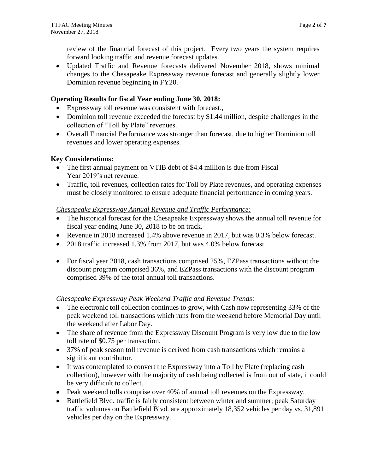review of the financial forecast of this project. Every two years the system requires forward looking traffic and revenue forecast updates.

 Updated Traffic and Revenue forecasts delivered November 2018, shows minimal changes to the Chesapeake Expressway revenue forecast and generally slightly lower Dominion revenue beginning in FY20.

## **Operating Results for fiscal Year ending June 30, 2018:**

- Expressway toll revenue was consistent with forecast.,
- Dominion toll revenue exceeded the forecast by \$1.44 million, despite challenges in the collection of "Toll by Plate" revenues.
- Overall Financial Performance was stronger than forecast, due to higher Dominion toll revenues and lower operating expenses.

## **Key Considerations:**

- The first annual payment on VTIB debt of \$4.4 million is due from Fiscal Year 2019's net revenue.
- Traffic, toll revenues, collection rates for Toll by Plate revenues, and operating expenses must be closely monitored to ensure adequate financial performance in coming years.

## *Chesapeake Expressway Annual Revenue and Traffic Performance:*

- The historical forecast for the Chesapeake Expressway shows the annual toll revenue for fiscal year ending June 30, 2018 to be on track.
- Revenue in 2018 increased 1.4% above revenue in 2017, but was 0.3% below forecast.
- 2018 traffic increased 1.3% from 2017, but was 4.0% below forecast.
- For fiscal year 2018, cash transactions comprised 25%, EZPass transactions without the discount program comprised 36%, and EZPass transactions with the discount program comprised 39% of the total annual toll transactions.

#### *Chesapeake Expressway Peak Weekend Traffic and Revenue Trends:*

- The electronic toll collection continues to grow, with Cash now representing 33% of the peak weekend toll transactions which runs from the weekend before Memorial Day until the weekend after Labor Day.
- The share of revenue from the Expressway Discount Program is very low due to the low toll rate of \$0.75 per transaction.
- 37% of peak season toll revenue is derived from cash transactions which remains a significant contributor.
- It was contemplated to convert the Expressway into a Toll by Plate (replacing cash collection), however with the majority of cash being collected is from out of state, it could be very difficult to collect.
- Peak weekend tolls comprise over 40% of annual toll revenues on the Expressway.
- Battlefield Blvd. traffic is fairly consistent between winter and summer; peak Saturday traffic volumes on Battlefield Blvd. are approximately 18,352 vehicles per day vs. 31,891 vehicles per day on the Expressway.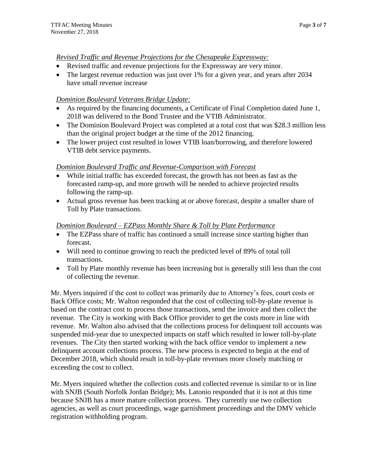# *Revised Traffic and Revenue Projections for the Chesapeake Expressway:*

- Revised traffic and revenue projections for the Expressway are very minor.
- The largest revenue reduction was just over 1% for a given year, and years after 2034 have small revenue increase

# *Dominion Boulevard Veterans Bridge Update:*

- As required by the financing documents, a Certificate of Final Completion dated June 1, 2018 was delivered to the Bond Trustee and the VTIB Administrator.
- The Dominion Boulevard Project was completed at a total cost that was \$28.3 million less than the original project budget at the time of the 2012 financing.
- The lower project cost resulted in lower VTIB loan/borrowing, and therefore lowered VTIB debt service payments.

# *Dominion Boulevard Traffic and Revenue-Comparison with Forecast*

- While initial traffic has exceeded forecast, the growth has not been as fast as the forecasted ramp-up, and more growth will be needed to achieve projected results following the ramp-up.
- Actual gross revenue has been tracking at or above forecast, despite a smaller share of Toll by Plate transactions.

# *Dominion Boulevard – EZPass Monthly Share & Toll by Plate Performance*

- The EZPass share of traffic has continued a small increase since starting higher than forecast.
- Will need to continue growing to reach the predicted level of 89% of total toll transactions.
- Toll by Plate monthly revenue has been increasing but is generally still less than the cost of collecting the revenue.

Mr. Myers inquired if the cost to collect was primarily due to Attorney's fees, court costs or Back Office costs; Mr. Walton responded that the cost of collecting toll-by-plate revenue is based on the contract cost to process those transactions, send the invoice and then collect the revenue. The City is working with Back Office provider to get the costs more in line with revenue. Mr. Walton also advised that the collections process for delinquent toll accounts was suspended mid-year due to unexpected impacts on staff which resulted in lower toll-by-plate revenues. The City then started working with the back office vendor to implement a new delinquent account collections process. The new process is expected to begin at the end of December 2018, which should result in toll-by-plate revenues more closely matching or exceeding the cost to collect.

Mr. Myers inquired whether the collection costs and collected revenue is similar to or in line with SNJB (South Norfolk Jordan Bridge); Ms. Latonio responded that it is not at this time because SNJB has a more mature collection process. They currently use two collection agencies, as well as court proceedings, wage garnishment proceedings and the DMV vehicle registration withholding program.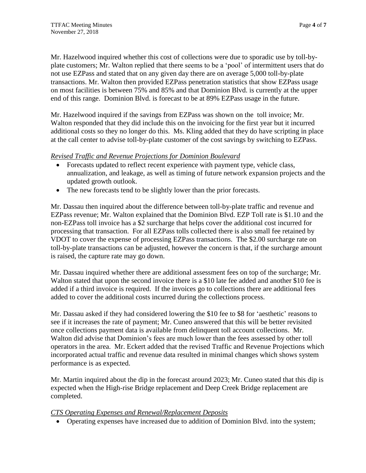Mr. Hazelwood inquired whether this cost of collections were due to sporadic use by toll-byplate customers; Mr. Walton replied that there seems to be a 'pool' of intermittent users that do not use EZPass and stated that on any given day there are on average 5,000 toll-by-plate transactions. Mr. Walton then provided EZPass penetration statistics that show EZPass usage on most facilities is between 75% and 85% and that Dominion Blvd. is currently at the upper end of this range. Dominion Blvd. is forecast to be at 89% EZPass usage in the future.

Mr. Hazelwood inquired if the savings from EZPass was shown on the toll invoice; Mr. Walton responded that they did include this on the invoicing for the first year but it incurred additional costs so they no longer do this. Ms. Kling added that they do have scripting in place at the call center to advise toll-by-plate customer of the cost savings by switching to EZPass.

# *Revised Traffic and Revenue Projections for Dominion Boulevard*

- Forecasts updated to reflect recent experience with payment type, vehicle class, annualization, and leakage, as well as timing of future network expansion projects and the updated growth outlook.
- The new forecasts tend to be slightly lower than the prior forecasts.

Mr. Dassau then inquired about the difference between toll-by-plate traffic and revenue and EZPass revenue; Mr. Walton explained that the Dominion Blvd. EZP Toll rate is \$1.10 and the non-EZPass toll invoice has a \$2 surcharge that helps cover the additional cost incurred for processing that transaction. For all EZPass tolls collected there is also small fee retained by VDOT to cover the expense of processing EZPass transactions. The \$2.00 surcharge rate on toll-by-plate transactions can be adjusted, however the concern is that, if the surcharge amount is raised, the capture rate may go down.

Mr. Dassau inquired whether there are additional assessment fees on top of the surcharge; Mr. Walton stated that upon the second invoice there is a \$10 late fee added and another \$10 fee is added if a third invoice is required. If the invoices go to collections there are additional fees added to cover the additional costs incurred during the collections process.

Mr. Dassau asked if they had considered lowering the \$10 fee to \$8 for 'aesthetic' reasons to see if it increases the rate of payment; Mr. Cuneo answered that this will be better revisited once collections payment data is available from delinquent toll account collections. Mr. Walton did advise that Dominion's fees are much lower than the fees assessed by other toll operators in the area. Mr. Eckert added that the revised Traffic and Revenue Projections which incorporated actual traffic and revenue data resulted in minimal changes which shows system performance is as expected.

Mr. Martin inquired about the dip in the forecast around 2023; Mr. Cuneo stated that this dip is expected when the High-rise Bridge replacement and Deep Creek Bridge replacement are completed.

# *CTS Operating Expenses and Renewal/Replacement Deposits*

Operating expenses have increased due to addition of Dominion Blvd. into the system;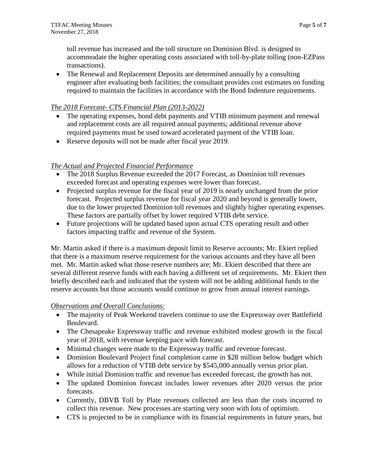toll revenue has increased and the toll structure on Dominion Blvd. is designed to accommodate the higher operating costs associated with toll-by-plate tolling (non-EZPass transactions).

• The Renewal and Replacement Deposits are determined annually by a consulting engineer after evaluating both facilities; the consultant provides cost estimates on funding required to maintain the facilities in accordance with the Bond Indenture requirements.

# *The 2018 Forecast- CTS Financial Plan (2013-2022)*

- The operating expenses, bond debt payments and VTIB minimum payment and renewal and replacement costs are all required annual payments; additional revenue above required payments must be used toward accelerated payment of the VTIB loan.
- Reserve deposits will not be made after fiscal year 2019.

# *The Actual and Projected Financial Performance*

- The 2018 Surplus Revenue exceeded the 2017 Forecast, as Dominion toll revenues exceeded forecast and operating expenses were lower than forecast.
- Projected surplus revenue for the fiscal year of 2019 is nearly unchanged from the prior forecast. Projected surplus revenue for fiscal year 2020 and beyond is generally lower, due to the lower projected Dominion toll revenues and slightly higher operating expenses. These factors are partially offset by lower required VTIB debt service.
- Future projections will be updated based upon actual CTS operating result and other factors impacting traffic and revenue of the System.

Mr. Martin asked if there is a maximum deposit limit to Reserve accounts; Mr. Ekiert replied that there is a maximum reserve requirement for the various accounts and they have all been met. Mr. Martin asked what those reserve numbers are; Mr. Ekiert described that there are several different reserve funds with each having a different set of requirements. Mr. Ekiert then briefly described each and indicated that the system will not be adding additional funds to the reserve accounts but those accounts would continue to grow from annual interest earnings.

#### *Observations and Overall Conclusions:*

- The majority of Peak Weekend travelers continue to use the Expressway over Battlefield Boulevard.
- The Chesapeake Expressway traffic and revenue exhibited modest growth in the fiscal year of 2018, with revenue keeping pace with forecast.
- Minimal changes were made to the Expressway traffic and revenue forecast.
- Dominion Boulevard Project final completion came in \$28 million below budget which allows for a reduction of VTIB debt service by \$545,000 annually versus prior plan.
- While initial Dominion traffic and revenue has exceeded forecast, the growth has not.
- The updated Dominion forecast includes lower revenues after 2020 versus the prior forecasts.
- Currently, DBVB Toll by Plate revenues collected are less than the costs incurred to collect this revenue. New processes are starting very soon with lots of optimism.
- CTS is projected to be in compliance with its financial requirements in future years, but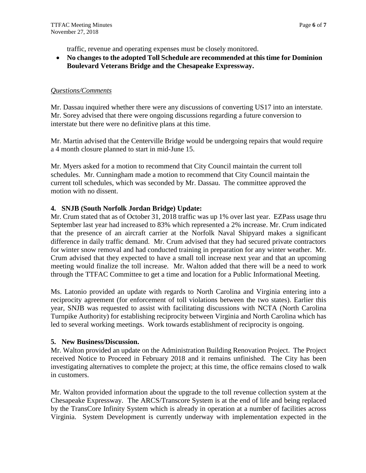traffic, revenue and operating expenses must be closely monitored.

 **No changes to the adopted Toll Schedule are recommended at this time for Dominion Boulevard Veterans Bridge and the Chesapeake Expressway.** 

## *Questions/Comments*

Mr. Dassau inquired whether there were any discussions of converting US17 into an interstate. Mr. Sorey advised that there were ongoing discussions regarding a future conversion to interstate but there were no definitive plans at this time.

Mr. Martin advised that the Centerville Bridge would be undergoing repairs that would require a 4 month closure planned to start in mid-June 15.

Mr. Myers asked for a motion to recommend that City Council maintain the current toll schedules. Mr. Cunningham made a motion to recommend that City Council maintain the current toll schedules, which was seconded by Mr. Dassau. The committee approved the motion with no dissent.

## **4. SNJB (South Norfolk Jordan Bridge) Update:**

Mr. Crum stated that as of October 31, 2018 traffic was up 1% over last year. EZPass usage thru September last year had increased to 83% which represented a 2% increase. Mr. Crum indicated that the presence of an aircraft carrier at the Norfolk Naval Shipyard makes a significant difference in daily traffic demand. Mr. Crum advised that they had secured private contractors for winter snow removal and had conducted training in preparation for any winter weather. Mr. Crum advised that they expected to have a small toll increase next year and that an upcoming meeting would finalize the toll increase. Mr. Walton added that there will be a need to work through the TTFAC Committee to get a time and location for a Public Informational Meeting.

Ms. Latonio provided an update with regards to North Carolina and Virginia entering into a reciprocity agreement (for enforcement of toll violations between the two states). Earlier this year, SNJB was requested to assist with facilitating discussions with NCTA (North Carolina Turnpike Authority) for establishing reciprocity between Virginia and North Carolina which has led to several working meetings. Work towards establishment of reciprocity is ongoing.

#### **5. New Business/Discussion.**

Mr. Walton provided an update on the Administration Building Renovation Project. The Project received Notice to Proceed in February 2018 and it remains unfinished. The City has been investigating alternatives to complete the project; at this time, the office remains closed to walk in customers.

Mr. Walton provided information about the upgrade to the toll revenue collection system at the Chesapeake Expressway. The ARCS/Transcore System is at the end of life and being replaced by the TransCore Infinity System which is already in operation at a number of facilities across Virginia. System Development is currently underway with implementation expected in the